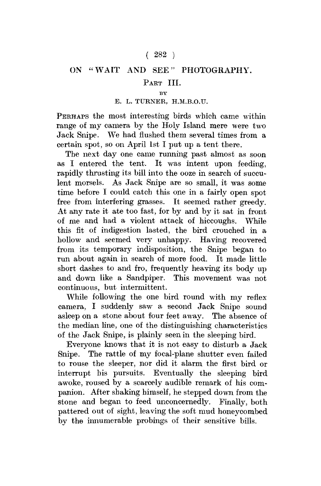### $(282)$

# ON "WAIT AND SEE" PHOTOGRAPHY.

## PART III.

 $\mathbf{B}$ 

### E. L. TURNER, H.M.B.O.U.

PERHAPS the most interesting birds which came within range of my camera by the Holy Island mere were two Jack Snipe. We had flushed them several times from a certain spot, so on April 1st I put up a tent there.

The next day one came running past almost as soon as I entered the tent. It was intent upon feeding, rapidly thrusting its bill into the ooze in search of succulent morsels. As Jack Snipe are so small, it was some time before I could catch this one in a fairly open spot free from interfering grasses. It seemed rather greedy. At any rate it ate too fast, for by and by it sat in front of me and had a violent attack of hiccoughs. While this fit of indigestion lasted, the bird crouched in a hollow and seemed very unhappy. Having recovered from its temporary indisposition, the Snipe began to run about again in search of more food. It made little short dashes to and fro, frequently heaving its body up and down like a Sandpiper. This movement was not continuous, but intermittent.

While following the one bird round with my reflex camera, I suddenly saw a second Jack Snipe sound asleep on a stone about four feet away. The absence of the median line, one of the distinguishing characteristics of the Jack Snipe, is plainly seen in the sleeping bird.

Everyone knows that it is not easy to disturb a Jack Snipe. The rattle of my focal-plane shutter even failed to rouse the sleeper, nor did it alarm the first bird or interrupt his pursuits. Eventually the sleeping bird awoke, roused by a scarcely audible remark of his companion. After shaking himself, he stepped down from the stone and began to feed unconcernedly. Finally, both pattered out of sight, leaving the soft mud honeycombed by the innumerable probings of their sensitive bills.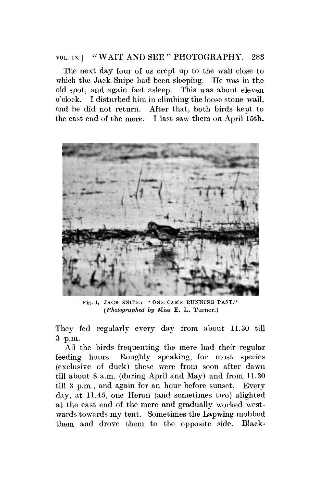#### VOL. ix.j " WAIT AND SEE " PHOTOGRAPHY. 283

The next day four of us crept up to the wall close to which the Jack Snipe had been sleeping. He was in the old spot, and again fast asleep. This was about eleven o'clock. I disturbed him in climbing the loose stone wall, and he did not return. After that, both birds kept to the east end of the mere. I last saw them on April 15th.



Fig. 1. JACK SNIPE: " ONE CAME RUNNING PAST." *(Photographed by* Miss E. L. Turner.)

They fed regularly every day from about 11.30 till 3 p.m.

All the birds frequenting the mere had their regular feeding hours. Roughly speaking, for most species (exclusive of duck) these were from soon after dawn till about 8 a.m. (during April and May) and from 11.30 till 3 p.m., and again for an hour before sunset. Every day, at 11.45, one Heron (and sometimes two) alighted at the east end of the mere and gradually worked westwards towards my tent. Sometimes the Lapwing mobbed them and drove them to the opposite side. Black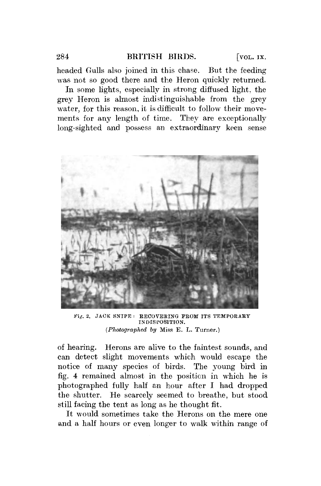headed Gulls also joined in this chase. But the feeding was not so good there and the Heron quickly returned.

In some lights, especially in strong diffused light, the grey Heron is almost indistinguishable from the grey water, for this reason, it is difficult to follow their movements for any length of time. They are exceptionally long-sighted and possess an extraordinary keen sense



Fig. 2. JACK SNIPE: RECOVERING FROM ITS TEMPORARY INDISPOSITION. *(Photographed by* Miss E. L. Turner.)

of hearing. Herons are alive to the faintest sounds, and can detect slight movements which would escape the notice of many species of birds. The young bird in fig. 4 remained almost in the position in which he is photographed fully half an hour after I had dropped the shutter. He scarcely seemed to breathe, but stood still facing the tent as long as he thought fit.

It would sometimes take the Herons on the mere one and a half hours or even longer to walk within range of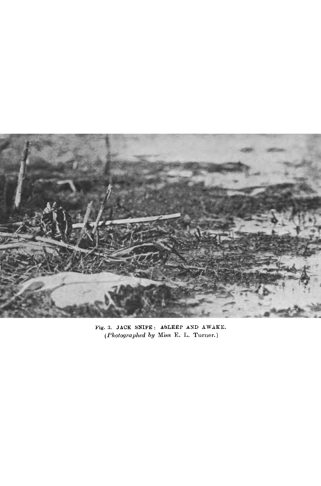

Pig. 3. JACK SNIPE : ASLEEP AND AWAKE. *(Photographed by* Miss E. L. Turner.)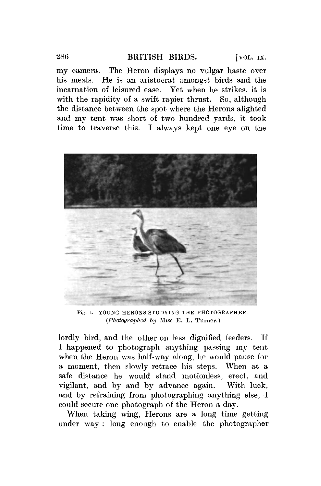### 286 BRITISH BIRDS. [VOL. IX.

my camera. The Heron displays no vulgar haste over his meals. He is an aristocrat amongst birds and the incarnation of leisured ease. Yet when he strikes, it is with the rapidity of a swift rapier thrust. So, although the distance between the spot where the Herons alighted and my tent was short of two hundred yards, it took time to traverse this. I always kept one eye on the



Fig. 4. YOUNG HERONS STUDYING THE PHOTOGRAPHER. *(Photographed by* Miss E. L. Turner.)

lordly bird, and the other on less dignified feeders. If I happened to photograph anything passing my tent when the Heron was half-way along, he would pause for a moment, then slowly retrace his steps. When at a safe distance he would stand motionless, erect, and vigilant, and by and by advance again. With luck, and by refraining from photographing anything else, I could secure one photograph of the Heron a day.

When taking wing, Herons are a long time getting under way : long enough to enable the photographer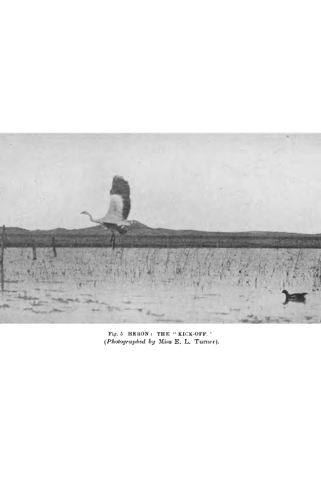

Fig. 5 HERON: THE "KICK-OFF." *{Photographed by* Miss E. L. Turner).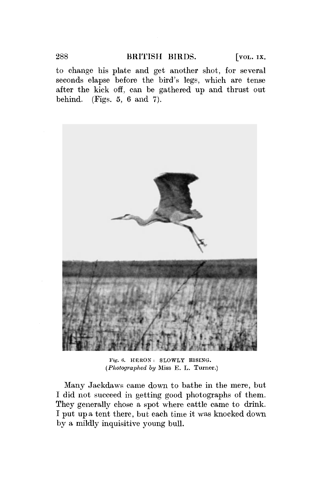to change his plate and get another shot, for several seconds elapse before the bird's legs, which are tense after the kick off, can be gathered up and thrust out behind. (Figs. 5, 6 and 7).



Pig. 6. HERON : SLOWLY E1SING. *(Photographed by* Miss E. L. Turner.)

Many Jackdaws came down to bathe in the mere, but I did not succeed in getting good photographs of them. They generally chose a spot where cattle came to drink. I put up a tent there, but each time it was knocked down by a mildly inquisitive young bull.